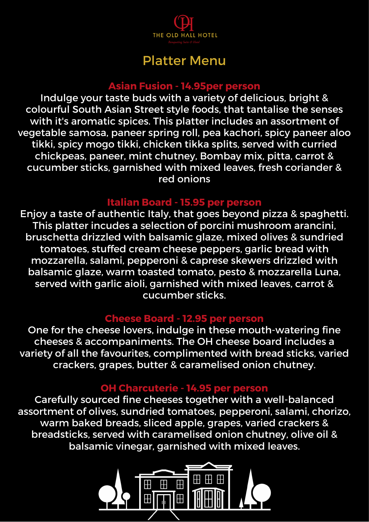

# Platter Menu

### **Asian Fusion - 14.95per person**

Indulge your taste buds with a variety of delicious, bright & colourful South Asian Street style foods, that tantalise the senses with it's aromatic spices. This platter includes an assortment of vegetable samosa, paneer spring roll, pea kachori, spicy paneer aloo tikki, spicy mogo tikki, chicken tikka splits, served with curried chickpeas, paneer, mint chutney, Bombay mix, pitta, carrot & cucumber sticks, garnished with mixed leaves, fresh coriander & red onions

## **Italian Board - 15.95 per person**

Enjoy a taste of authentic Italy, that goes beyond pizza & spaghetti. This platter incudes a selection of porcini mushroom arancini, bruschetta drizzled with balsamic glaze, mixed olives & sundried tomatoes, stuffed cream cheese peppers, garlic bread with mozzarella, salami, pepperoni & caprese skewers drizzled with balsamic glaze, warm toasted tomato, pesto & mozzarella Luna, served with garlic aioli, garnished with mixed leaves, carrot & cucumber sticks.

#### **Cheese Board - 12.95 per person**

One for the cheese lovers, indulge in these mouth-watering fine cheeses & accompaniments. The OH cheese board includes a variety of all the favourites, complimented with bread sticks, varied crackers, grapes, butter & caramelised onion chutney.

## **OH Charcuterie - 14.95 per person**

Carefully sourced fine cheeses together with a well-balanced assortment of olives, sundried tomatoes, pepperoni, salami, chorizo, warm baked breads, sliced apple, grapes, varied crackers & breadsticks, served with caramelised onion chutney, olive oil & balsamic vinegar, garnished with mixed leaves.